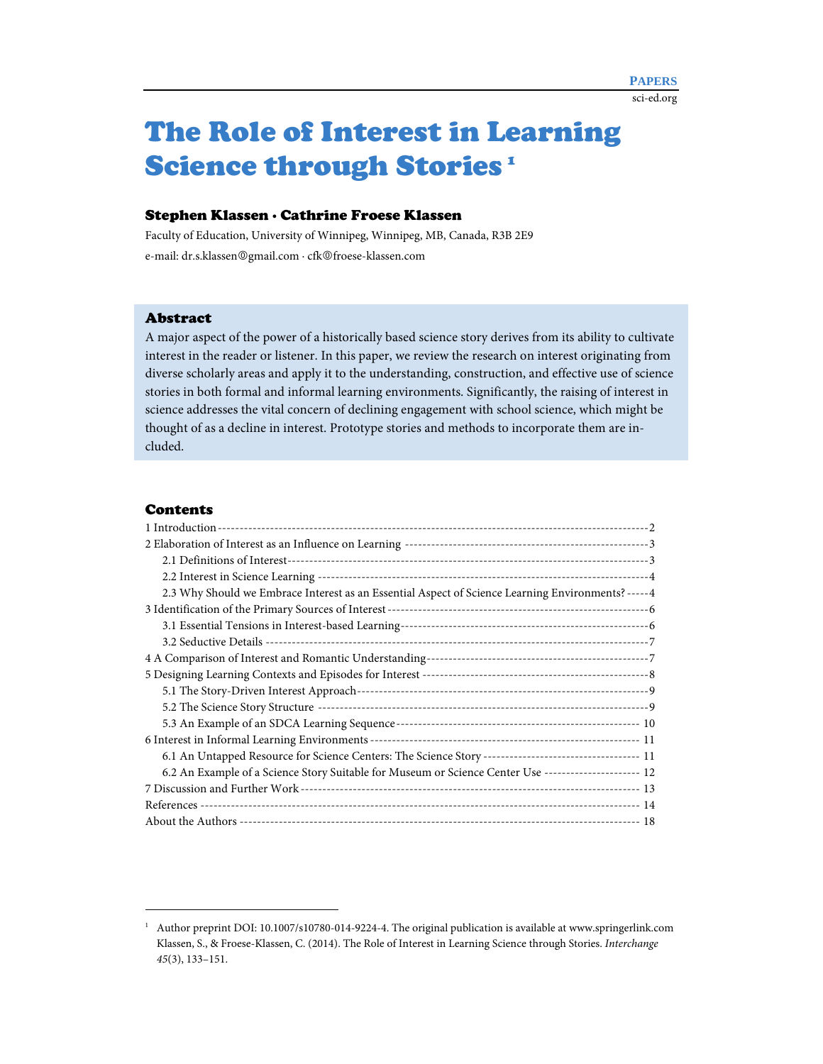# The Role of Interest in Learning **Science through Stories**<sup>[1](#page-0-0)</sup>

### Stephen Klassen ∙ Cathrine Froese Klassen

Faculty of Education, University of Winnipeg, Winnipeg, MB, Canada, R3B 2E9 e-mail: dr.s.klassen@gmail.com ⋅ cfk@froese-klassen.com

### Abstract

A major aspect of the power of a historically based science story derives from its ability to cultivate interest in the reader or listener. In this paper, we review the research on interest originating from diverse scholarly areas and apply it to the understanding, construction, and effective use of science stories in both formal and informal learning environments. Significantly, the raising of interest in science addresses the vital concern of declining engagement with school science, which might be thought of as a decline in interest. Prototype stories and methods to incorporate them are included.

### **Contents**

 $\ddot{\phantom{a}}$ 

| 2.3 Why Should we Embrace Interest as an Essential Aspect of Science Learning Environments?-----4     |
|-------------------------------------------------------------------------------------------------------|
|                                                                                                       |
|                                                                                                       |
|                                                                                                       |
|                                                                                                       |
|                                                                                                       |
|                                                                                                       |
|                                                                                                       |
|                                                                                                       |
|                                                                                                       |
|                                                                                                       |
| 6.2 An Example of a Science Story Suitable for Museum or Science Center Use ---------------------- 12 |
|                                                                                                       |
|                                                                                                       |
|                                                                                                       |

<span id="page-0-0"></span><sup>&</sup>lt;sup>1</sup> Author preprint DOI: 10.1007/s10780-014-9224-4. The original publication is available at www.springerlink.com Klassen, S., & Froese-Klassen, C. (2014). The Role of Interest in Learning Science through Stories. *Interchange 45*(3), 133–151.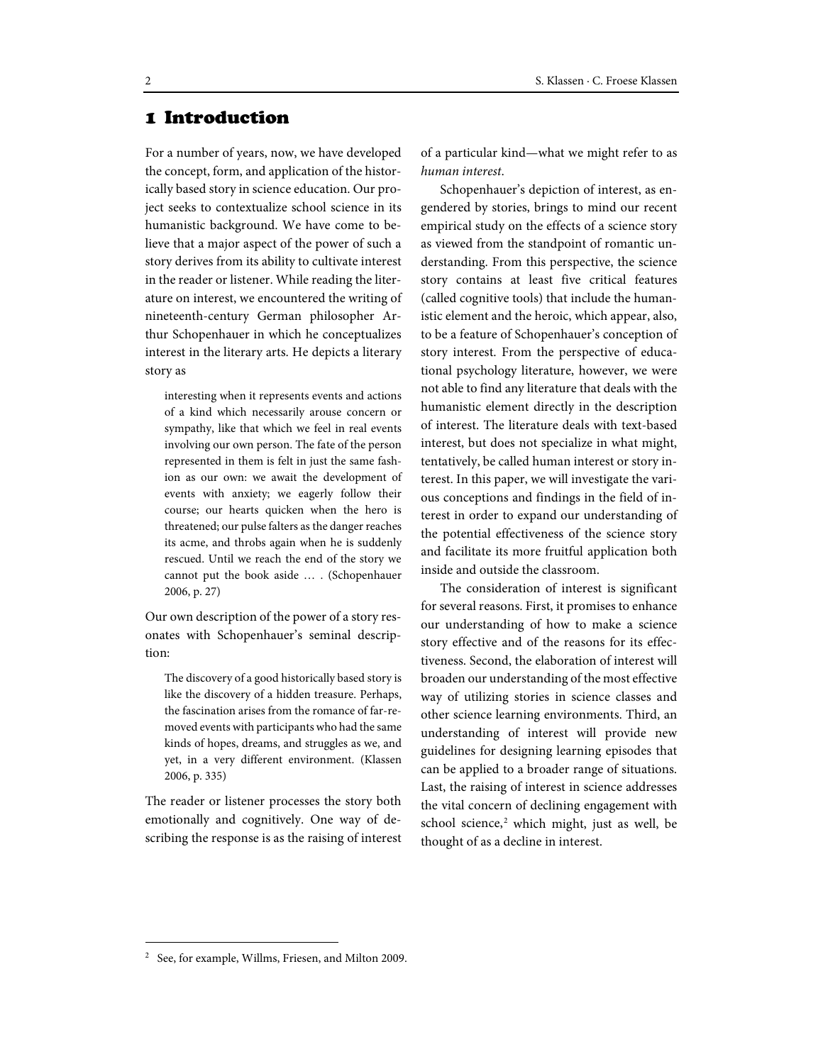# 1 Introduction

For a number of years, now, we have developed the concept, form, and application of the historically based story in science education. Our project seeks to contextualize school science in its humanistic background. We have come to believe that a major aspect of the power of such a story derives from its ability to cultivate interest in the reader or listener. While reading the literature on interest, we encountered the writing of nineteenth-century German philosopher Arthur Schopenhauer in which he conceptualizes interest in the literary arts. He depicts a literary story as

interesting when it represents events and actions of a kind which necessarily arouse concern or sympathy, like that which we feel in real events involving our own person. The fate of the person represented in them is felt in just the same fashion as our own: we await the development of events with anxiety; we eagerly follow their course; our hearts quicken when the hero is threatened; our pulse falters as the danger reaches its acme, and throbs again when he is suddenly rescued. Until we reach the end of the story we cannot put the book aside … . (Schopenhauer 2006, p. 27)

Our own description of the power of a story resonates with Schopenhauer's seminal description:

The discovery of a good historically based story is like the discovery of a hidden treasure. Perhaps, the fascination arises from the romance of far-removed events with participants who had the same kinds of hopes, dreams, and struggles as we, and yet, in a very different environment. (Klassen 2006, p. 335)

The reader or listener processes the story both emotionally and cognitively. One way of describing the response is as the raising of interest of a particular kind—what we might refer to as *human interest*.

Schopenhauer's depiction of interest, as engendered by stories, brings to mind our recent empirical study on the effects of a science story as viewed from the standpoint of romantic understanding. From this perspective, the science story contains at least five critical features (called cognitive tools) that include the humanistic element and the heroic, which appear, also, to be a feature of Schopenhauer's conception of story interest. From the perspective of educational psychology literature, however, we were not able to find any literature that deals with the humanistic element directly in the description of interest. The literature deals with text-based interest, but does not specialize in what might, tentatively, be called human interest or story interest. In this paper, we will investigate the various conceptions and findings in the field of interest in order to expand our understanding of the potential effectiveness of the science story and facilitate its more fruitful application both inside and outside the classroom.

The consideration of interest is significant for several reasons. First, it promises to enhance our understanding of how to make a science story effective and of the reasons for its effectiveness. Second, the elaboration of interest will broaden our understanding of the most effective way of utilizing stories in science classes and other science learning environments. Third, an understanding of interest will provide new guidelines for designing learning episodes that can be applied to a broader range of situations. Last, the raising of interest in science addresses the vital concern of declining engagement with school science, $2$  which might, just as well, be thought of as a decline in interest.

 $\overline{a}$ 

<span id="page-1-0"></span><sup>2</sup> See, for example, Willms, Friesen, and Milton 2009.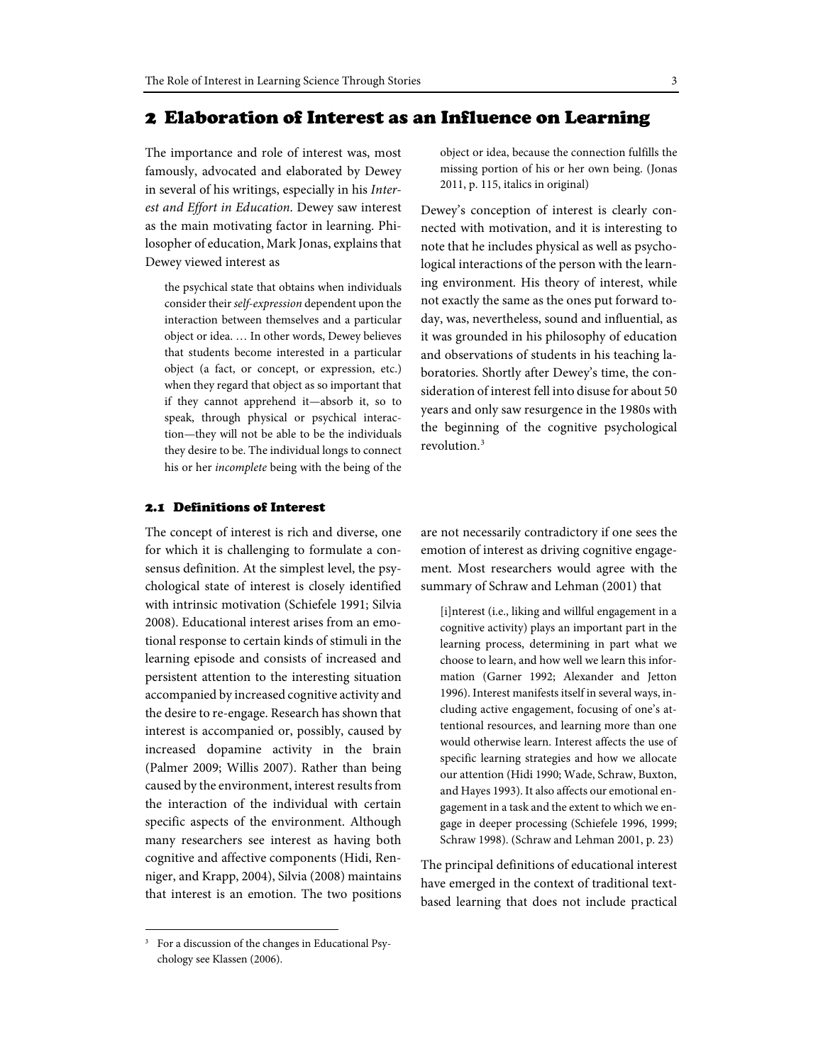### 2 Elaboration of Interest as an Influence on Learning

The importance and role of interest was, most famously, advocated and elaborated by Dewey in several of his writings, especially in his *Interest and Effort in Education*. Dewey saw interest as the main motivating factor in learning. Philosopher of education, Mark Jonas, explains that Dewey viewed interest as

the psychical state that obtains when individuals consider their *self-expression* dependent upon the interaction between themselves and a particular object or idea. … In other words, Dewey believes that students become interested in a particular object (a fact, or concept, or expression, etc.) when they regard that object as so important that if they cannot apprehend it—absorb it, so to speak, through physical or psychical interaction—they will not be able to be the individuals they desire to be. The individual longs to connect his or her *incomplete* being with the being of the

object or idea, because the connection fulfills the missing portion of his or her own being. (Jonas 2011, p. 115, italics in original)

Dewey's conception of interest is clearly connected with motivation, and it is interesting to note that he includes physical as well as psychological interactions of the person with the learning environment. His theory of interest, while not exactly the same as the ones put forward today, was, nevertheless, sound and influential, as it was grounded in his philosophy of education and observations of students in his teaching laboratories. Shortly after Dewey's time, the consideration of interest fell into disuse for about 50 years and only saw resurgence in the 1980s with the beginning of the cognitive psychological revolution.[3](#page-2-0)

### 2.1 Definitions of Interest

The concept of interest is rich and diverse, one for which it is challenging to formulate a consensus definition. At the simplest level, the psychological state of interest is closely identified with intrinsic motivation (Schiefele 1991; Silvia 2008). Educational interest arises from an emotional response to certain kinds of stimuli in the learning episode and consists of increased and persistent attention to the interesting situation accompanied by increased cognitive activity and the desire to re-engage. Research has shown that interest is accompanied or, possibly, caused by increased dopamine activity in the brain (Palmer 2009; Willis 2007). Rather than being caused by the environment, interest results from the interaction of the individual with certain specific aspects of the environment. Although many researchers see interest as having both cognitive and affective components (Hidi, Renniger, and Krapp, 2004), Silvia (2008) maintains that interest is an emotion. The two positions

 $\ddot{\phantom{a}}$ 

are not necessarily contradictory if one sees the emotion of interest as driving cognitive engagement. Most researchers would agree with the summary of Schraw and Lehman (2001) that

[i]nterest (i.e., liking and willful engagement in a cognitive activity) plays an important part in the learning process, determining in part what we choose to learn, and how well we learn this information (Garner 1992; Alexander and Jetton 1996). Interest manifests itself in several ways, including active engagement, focusing of one's attentional resources, and learning more than one would otherwise learn. Interest affects the use of specific learning strategies and how we allocate our attention (Hidi 1990; Wade, Schraw, Buxton, and Hayes 1993). It also affects our emotional engagement in a task and the extent to which we engage in deeper processing (Schiefele 1996, 1999; Schraw 1998). (Schraw and Lehman 2001, p. 23)

The principal definitions of educational interest have emerged in the context of traditional textbased learning that does not include practical

<span id="page-2-0"></span><sup>3</sup> For a discussion of the changes in Educational Psychology see Klassen (2006).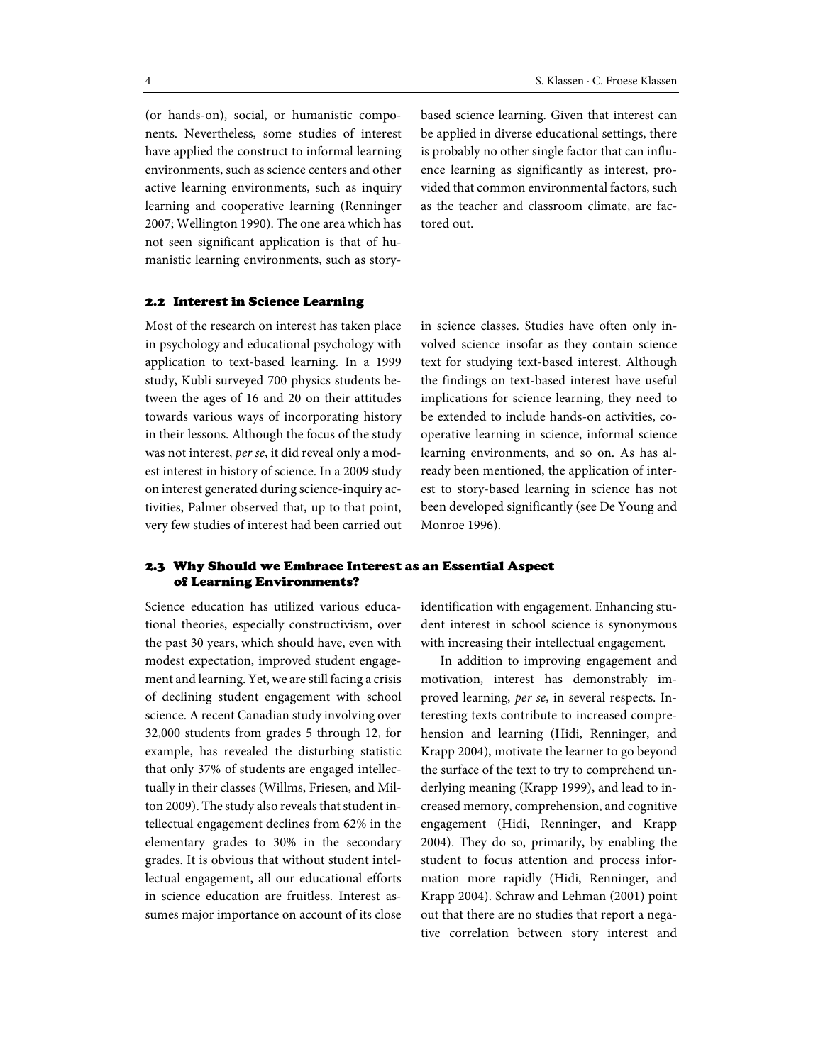(or hands-on), social, or humanistic components. Nevertheless, some studies of interest have applied the construct to informal learning environments, such as science centers and other active learning environments, such as inquiry learning and cooperative learning (Renninger 2007; Wellington 1990). The one area which has not seen significant application is that of humanistic learning environments, such as storybased science learning. Given that interest can be applied in diverse educational settings, there is probably no other single factor that can influence learning as significantly as interest, provided that common environmental factors, such as the teacher and classroom climate, are factored out.

### 2.2 Interest in Science Learning

Most of the research on interest has taken place in psychology and educational psychology with application to text-based learning. In a 1999 study, Kubli surveyed 700 physics students between the ages of 16 and 20 on their attitudes towards various ways of incorporating history in their lessons. Although the focus of the study was not interest, *per se*, it did reveal only a modest interest in history of science. In a 2009 study on interest generated during science-inquiry activities, Palmer observed that, up to that point, very few studies of interest had been carried out in science classes. Studies have often only involved science insofar as they contain science text for studying text-based interest. Although the findings on text-based interest have useful implications for science learning, they need to be extended to include hands-on activities, cooperative learning in science, informal science learning environments, and so on. As has already been mentioned, the application of interest to story-based learning in science has not been developed significantly (see De Young and Monroe 1996).

### 2.3 Why Should we Embrace Interest as an Essential Aspect of Learning Environments?

Science education has utilized various educational theories, especially constructivism, over the past 30 years, which should have, even with modest expectation, improved student engagement and learning. Yet, we are still facing a crisis of declining student engagement with school science. A recent Canadian study involving over 32,000 students from grades 5 through 12, for example, has revealed the disturbing statistic that only 37% of students are engaged intellectually in their classes (Willms, Friesen, and Milton 2009). The study also reveals that student intellectual engagement declines from 62% in the elementary grades to 30% in the secondary grades. It is obvious that without student intellectual engagement, all our educational efforts in science education are fruitless. Interest assumes major importance on account of its close identification with engagement. Enhancing student interest in school science is synonymous with increasing their intellectual engagement.

In addition to improving engagement and motivation, interest has demonstrably improved learning, *per se*, in several respects. Interesting texts contribute to increased comprehension and learning (Hidi, Renninger, and Krapp 2004), motivate the learner to go beyond the surface of the text to try to comprehend underlying meaning (Krapp 1999), and lead to increased memory, comprehension, and cognitive engagement (Hidi, Renninger, and Krapp 2004). They do so, primarily, by enabling the student to focus attention and process information more rapidly (Hidi, Renninger, and Krapp 2004). Schraw and Lehman (2001) point out that there are no studies that report a negative correlation between story interest and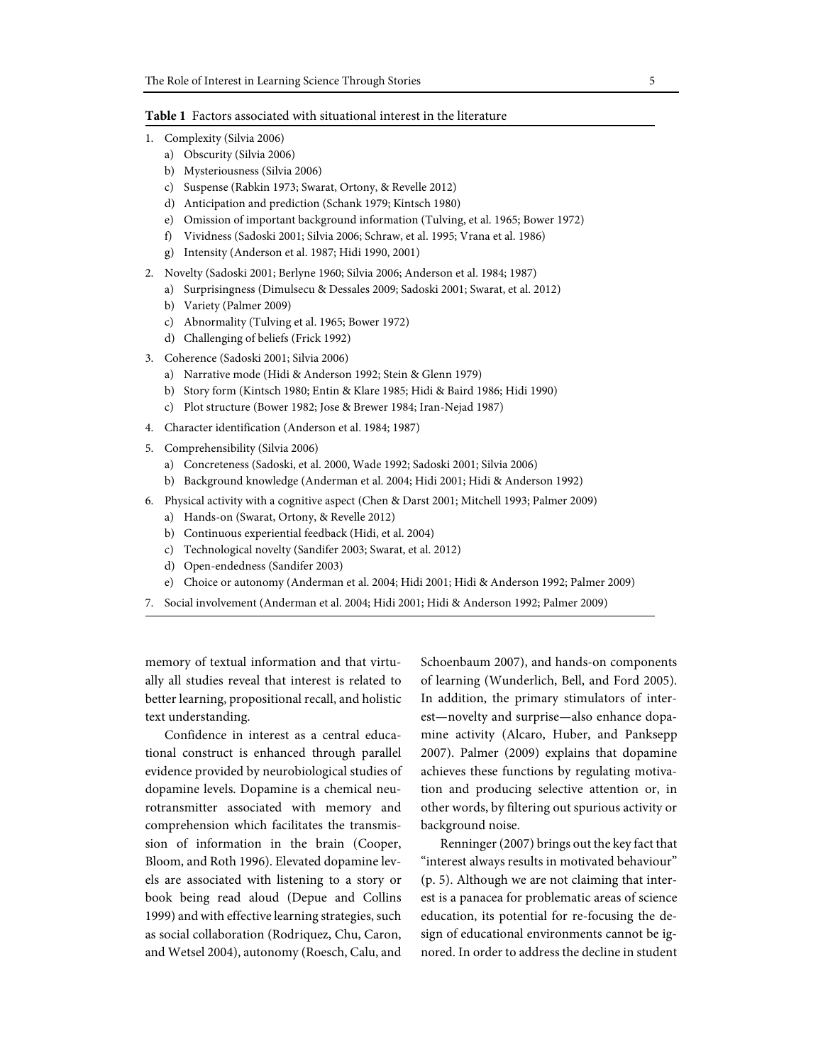#### **Table 1** Factors associated with situational interest in the literature

- 1. Complexity (Silvia 2006)
	- a) Obscurity (Silvia 2006)
	- b) Mysteriousness (Silvia 2006)
	- c) Suspense (Rabkin 1973; Swarat, Ortony, & Revelle 2012)
	- d) Anticipation and prediction (Schank 1979; Κίntsch 1980)
	- e) Omission of important background information (Tulving, et al. 1965; Bower 1972)
	- f) Vividness (Sadoski 2001; Silvia 2006; Schraw, et al. 1995; Vrana et al. 1986)
	- g) Intensity (Anderson et al. 1987; Hidi 1990, 2001)
- 2. Novelty (Sadoski 2001; Berlyne 1960; Silvia 2006; Anderson et al. 1984; 1987)
	- a) Surprisingness (Dimulsecu & Dessales 2009; Sadoski 2001; Swarat, et al. 2012)
	- b) Variety (Palmer 2009)
	- c) Abnormality (Tulving et al. 1965; Bower 1972)
	- d) Challenging of beliefs (Frick 1992)
- 3. Coherence (Sadoski 2001; Silvia 2006)
	- a) Narrative mode (Hidi & Anderson 1992; Stein & Glenn 1979)
	- b) Story form (Κintsch 1980; Entin & Κlare 1985; Hidi & Baird 1986; Hidi 1990)
	- c) Plot structure (Bower 1982; Jose & Brewer 1984; Iran-Nejad 1987)
- 4. Character identification (Anderson et al. 1984; 1987)
- 5. Comprehensibility (Silvia 2006)
	- a) Concreteness (Sadoski, et al. 2000, Wade 1992; Sadoski 2001; Silvia 2006)
	- b) Background knowledge (Anderman et al. 2004; Hidi 2001; Hidi & Anderson 1992)
- 6. Physical activity with a cognitive aspect (Chen & Darst 2001; Mitchell 1993; Palmer 2009)
	- a) Hands-on (Swarat, Ortony, & Revelle 2012)
	- b) Continuous experiential feedback (Hidi, et al. 2004)
	- c) Technological novelty (Sandifer 2003; Swarat, et al. 2012)
	- d) Open-endedness (Sandifer 2003)
	- e) Choice or autonomy (Anderman et al. 2004; Hidi 2001; Hidi & Anderson 1992; Palmer 2009)
- 7. Social involvement (Anderman et al. 2004; Hidi 2001; Hidi & Anderson 1992; Palmer 2009)

memory of textual information and that virtually all studies reveal that interest is related to better learning, propositional recall, and holistic text understanding.

Confidence in interest as a central educational construct is enhanced through parallel evidence provided by neurobiological studies of dopamine levels. Dopamine is a chemical neurotransmitter associated with memory and comprehension which facilitates the transmission of information in the brain (Cooper, Bloom, and Roth 1996). Elevated dopamine levels are associated with listening to a story or book being read aloud (Depue and Collins 1999) and with effective learning strategies, such as social collaboration (Rodriquez, Chu, Caron, and Wetsel 2004), autonomy (Roesch, Calu, and Schoenbaum 2007), and hands-on components of learning (Wunderlich, Bell, and Ford 2005). In addition, the primary stimulators of interest—novelty and surprise—also enhance dopamine activity (Alcaro, Huber, and Panksepp 2007). Palmer (2009) explains that dopamine achieves these functions by regulating motivation and producing selective attention or, in other words, by filtering out spurious activity or background noise.

Renninger (2007) brings out the key fact that "interest always results in motivated behaviour" (p. 5). Although we are not claiming that interest is a panacea for problematic areas of science education, its potential for re-focusing the design of educational environments cannot be ignored. In order to address the decline in student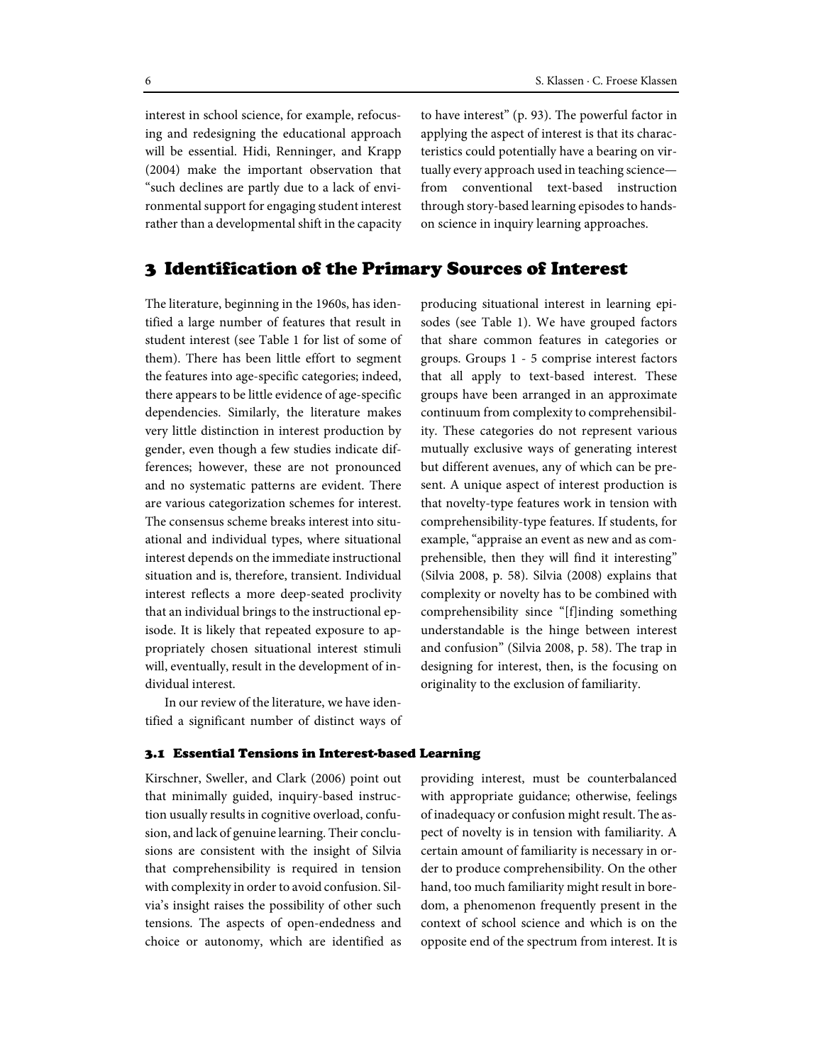interest in school science, for example, refocusing and redesigning the educational approach will be essential. Hidi, Renninger, and Krapp (2004) make the important observation that "such declines are partly due to a lack of environmental support for engaging student interest rather than a developmental shift in the capacity to have interest" (p. 93). The powerful factor in applying the aspect of interest is that its characteristics could potentially have a bearing on virtually every approach used in teaching science from conventional text-based instruction through story-based learning episodes to handson science in inquiry learning approaches.

# 3 Identification of the Primary Sources of Interest

The literature, beginning in the 1960s, has identified a large number of features that result in student interest (see Table 1 for list of some of them). There has been little effort to segment the features into age-specific categories; indeed, there appears to be little evidence of age-specific dependencies. Similarly, the literature makes very little distinction in interest production by gender, even though a few studies indicate differences; however, these are not pronounced and no systematic patterns are evident. There are various categorization schemes for interest. The consensus scheme breaks interest into situational and individual types, where situational interest depends on the immediate instructional situation and is, therefore, transient. Individual interest reflects a more deep-seated proclivity that an individual brings to the instructional episode. It is likely that repeated exposure to appropriately chosen situational interest stimuli will, eventually, result in the development of individual interest.

In our review of the literature, we have identified a significant number of distinct ways of producing situational interest in learning episodes (see Table 1). We have grouped factors that share common features in categories or groups. Groups 1 - 5 comprise interest factors that all apply to text-based interest. These groups have been arranged in an approximate continuum from complexity to comprehensibility. These categories do not represent various mutually exclusive ways of generating interest but different avenues, any of which can be present. A unique aspect of interest production is that novelty-type features work in tension with comprehensibility-type features. If students, for example, "appraise an event as new and as comprehensible, then they will find it interesting" (Silvia 2008, p. 58). Silvia (2008) explains that complexity or novelty has to be combined with comprehensibility since "[f]inding something understandable is the hinge between interest and confusion" (Silvia 2008, p. 58). The trap in designing for interest, then, is the focusing on originality to the exclusion of familiarity.

### 3.1 Essential Tensions in Interest-based Learning

Kirschner, Sweller, and Clark (2006) point out that minimally guided, inquiry-based instruction usually results in cognitive overload, confusion, and lack of genuine learning. Their conclusions are consistent with the insight of Silvia that comprehensibility is required in tension with complexity in order to avoid confusion. Silvia's insight raises the possibility of other such tensions. The aspects of open-endedness and choice or autonomy, which are identified as providing interest, must be counterbalanced with appropriate guidance; otherwise, feelings of inadequacy or confusion might result. The aspect of novelty is in tension with familiarity. A certain amount of familiarity is necessary in order to produce comprehensibility. On the other hand, too much familiarity might result in boredom, a phenomenon frequently present in the context of school science and which is on the opposite end of the spectrum from interest. It is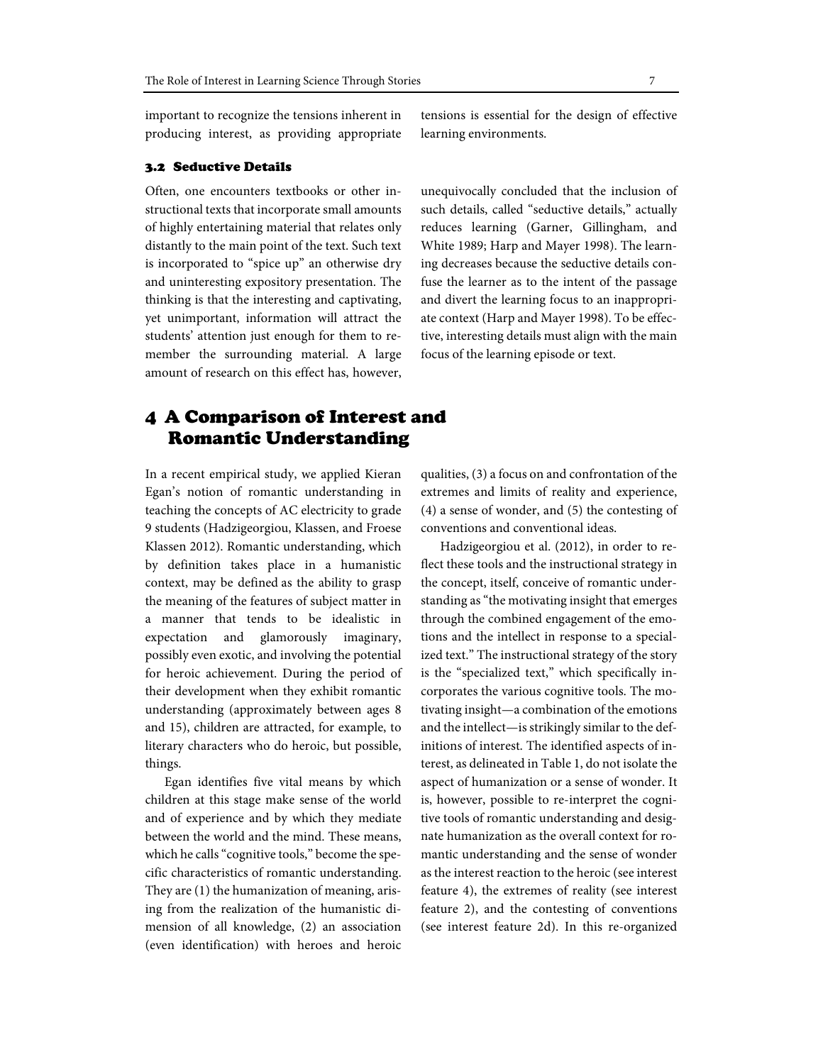important to recognize the tensions inherent in producing interest, as providing appropriate

### 3.2 Seductive Details

Often, one encounters textbooks or other instructional texts that incorporate small amounts of highly entertaining material that relates only distantly to the main point of the text. Such text is incorporated to "spice up" an otherwise dry and uninteresting expository presentation. The thinking is that the interesting and captivating, yet unimportant, information will attract the students' attention just enough for them to remember the surrounding material. A large amount of research on this effect has, however,

# 4 A Comparison of Interest and Romantic Understanding

In a recent empirical study, we applied Kieran Egan's notion of romantic understanding in teaching the concepts of AC electricity to grade 9 students (Hadzigeorgiou, Klassen, and Froese Klassen 2012). Romantic understanding, which by definition takes place in a humanistic context, may be defined as the ability to grasp the meaning of the features of subject matter in a manner that tends to be idealistic in expectation and glamorously imaginary, possibly even exotic, and involving the potential for heroic achievement. During the period of their development when they exhibit romantic understanding (approximately between ages 8 and 15), children are attracted, for example, to literary characters who do heroic, but possible, things.

Egan identifies five vital means by which children at this stage make sense of the world and of experience and by which they mediate between the world and the mind. These means, which he calls "cognitive tools," become the specific characteristics of romantic understanding. They are (1) the humanization of meaning, arising from the realization of the humanistic dimension of all knowledge, (2) an association (even identification) with heroes and heroic

tensions is essential for the design of effective learning environments.

unequivocally concluded that the inclusion of such details, called "seductive details," actually reduces learning (Garner, Gillingham, and White 1989; Harp and Mayer 1998). The learning decreases because the seductive details confuse the learner as to the intent of the passage and divert the learning focus to an inappropriate context (Harp and Mayer 1998). To be effective, interesting details must align with the main focus of the learning episode or text.

qualities, (3) a focus on and confrontation of the extremes and limits of reality and experience, (4) a sense of wonder, and (5) the contesting of conventions and conventional ideas.

Hadzigeorgiou et al. (2012), in order to reflect these tools and the instructional strategy in the concept, itself, conceive of romantic understanding as "the motivating insight that emerges through the combined engagement of the emotions and the intellect in response to a specialized text." The instructional strategy of the story is the "specialized text," which specifically incorporates the various cognitive tools. The motivating insight—a combination of the emotions and the intellect—is strikingly similar to the definitions of interest. The identified aspects of interest, as delineated in Table 1, do not isolate the aspect of humanization or a sense of wonder. It is, however, possible to re-interpret the cognitive tools of romantic understanding and designate humanization as the overall context for romantic understanding and the sense of wonder as the interest reaction to the heroic (see interest feature 4), the extremes of reality (see interest feature 2), and the contesting of conventions (see interest feature 2d). In this re-organized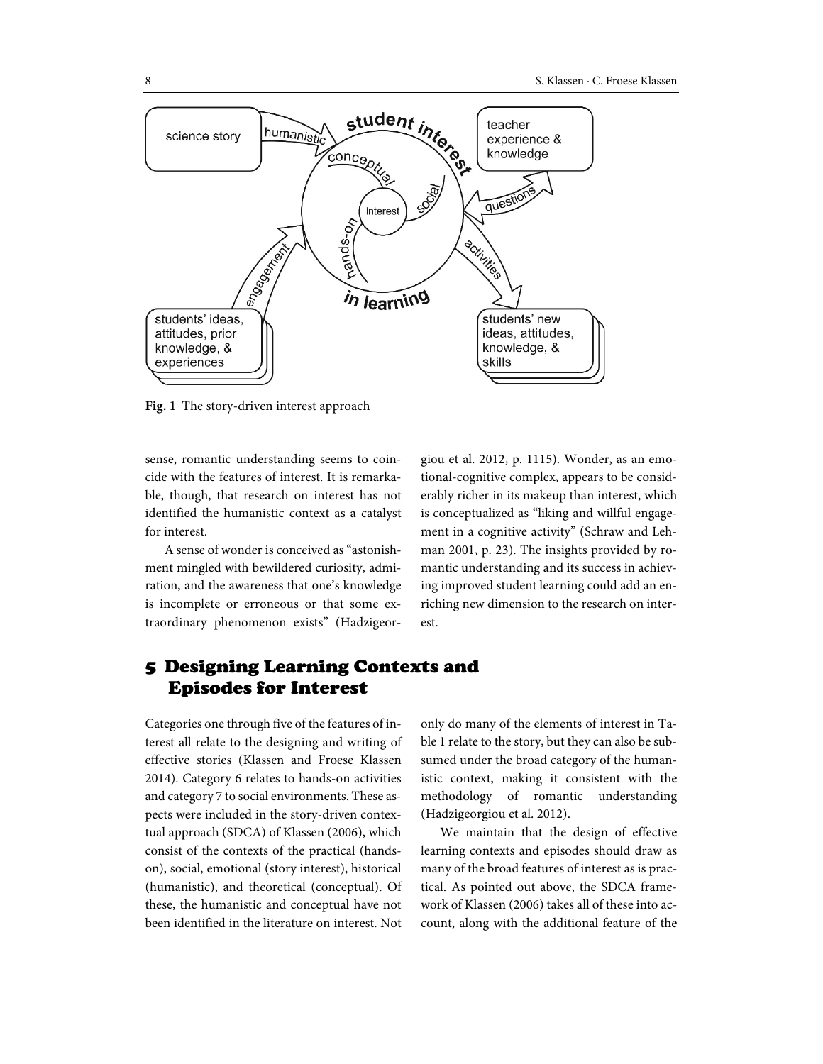

**Fig. 1** The story-driven interest approach

sense, romantic understanding seems to coincide with the features of interest. It is remarkable, though, that research on interest has not identified the humanistic context as a catalyst for interest.

A sense of wonder is conceived as "astonishment mingled with bewildered curiosity, admiration, and the awareness that one's knowledge is incomplete or erroneous or that some extraordinary phenomenon exists" (Hadzigeorgiou et al. 2012, p. 1115). Wonder, as an emotional-cognitive complex, appears to be considerably richer in its makeup than interest, which is conceptualized as "liking and willful engagement in a cognitive activity" (Schraw and Lehman 2001, p. 23). The insights provided by romantic understanding and its success in achieving improved student learning could add an enriching new dimension to the research on interest.

# 5 Designing Learning Contexts and Episodes for Interest

Categories one through five of the features of interest all relate to the designing and writing of effective stories (Klassen and Froese Klassen 2014). Category 6 relates to hands-on activities and category 7 to social environments. These aspects were included in the story-driven contextual approach (SDCA) of Klassen (2006), which consist of the contexts of the practical (handson), social, emotional (story interest), historical (humanistic), and theoretical (conceptual). Of these, the humanistic and conceptual have not been identified in the literature on interest. Not only do many of the elements of interest in Table 1 relate to the story, but they can also be subsumed under the broad category of the humanistic context, making it consistent with the methodology of romantic understanding (Hadzigeorgiou et al. 2012).

We maintain that the design of effective learning contexts and episodes should draw as many of the broad features of interest as is practical. As pointed out above, the SDCA framework of Klassen (2006) takes all of these into account, along with the additional feature of the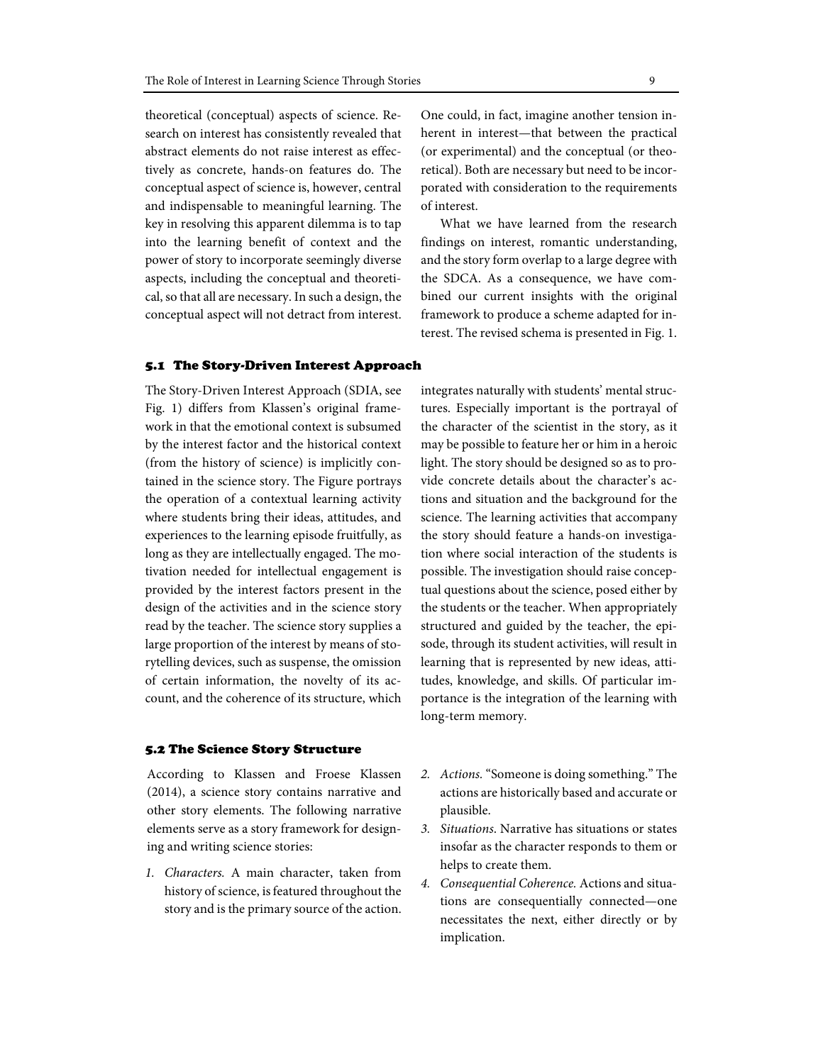theoretical (conceptual) aspects of science. Research on interest has consistently revealed that abstract elements do not raise interest as effectively as concrete, hands-on features do. The conceptual aspect of science is, however, central and indispensable to meaningful learning. The key in resolving this apparent dilemma is to tap into the learning benefit of context and the power of story to incorporate seemingly diverse aspects, including the conceptual and theoretical, so that all are necessary. In such a design, the conceptual aspect will not detract from interest.

One could, in fact, imagine another tension inherent in interest—that between the practical (or experimental) and the conceptual (or theoretical). Both are necessary but need to be incorporated with consideration to the requirements of interest.

What we have learned from the research findings on interest, romantic understanding, and the story form overlap to a large degree with the SDCA. As a consequence, we have combined our current insights with the original framework to produce a scheme adapted for interest. The revised schema is presented in Fig. 1.

### 5.1 The Story-Driven Interest Approach

The Story-Driven Interest Approach (SDIA, see Fig. 1) differs from Klassen's original framework in that the emotional context is subsumed by the interest factor and the historical context (from the history of science) is implicitly contained in the science story. The Figure portrays the operation of a contextual learning activity where students bring their ideas, attitudes, and experiences to the learning episode fruitfully, as long as they are intellectually engaged. The motivation needed for intellectual engagement is provided by the interest factors present in the design of the activities and in the science story read by the teacher. The science story supplies a large proportion of the interest by means of storytelling devices, such as suspense, the omission of certain information, the novelty of its account, and the coherence of its structure, which integrates naturally with students' mental structures. Especially important is the portrayal of the character of the scientist in the story, as it may be possible to feature her or him in a heroic light. The story should be designed so as to provide concrete details about the character's actions and situation and the background for the science. The learning activities that accompany the story should feature a hands-on investigation where social interaction of the students is possible. The investigation should raise conceptual questions about the science, posed either by the students or the teacher. When appropriately structured and guided by the teacher, the episode, through its student activities, will result in learning that is represented by new ideas, attitudes, knowledge, and skills. Of particular importance is the integration of the learning with long-term memory.

### 5.2 The Science Story Structure

According to Klassen and Froese Klassen (2014), a science story contains narrative and other story elements. The following narrative elements serve as a story framework for designing and writing science stories:

- *1. Characters.* A main character, taken from history of science, is featured throughout the story and is the primary source of the action.
- *2. Actions.* "Someone is doing something." The actions are historically based and accurate or plausible.
- *3. Situations*. Narrative has situations or states insofar as the character responds to them or helps to create them.
- *4. Consequential Coherence.* Actions and situations are consequentially connected—one necessitates the next, either directly or by implication.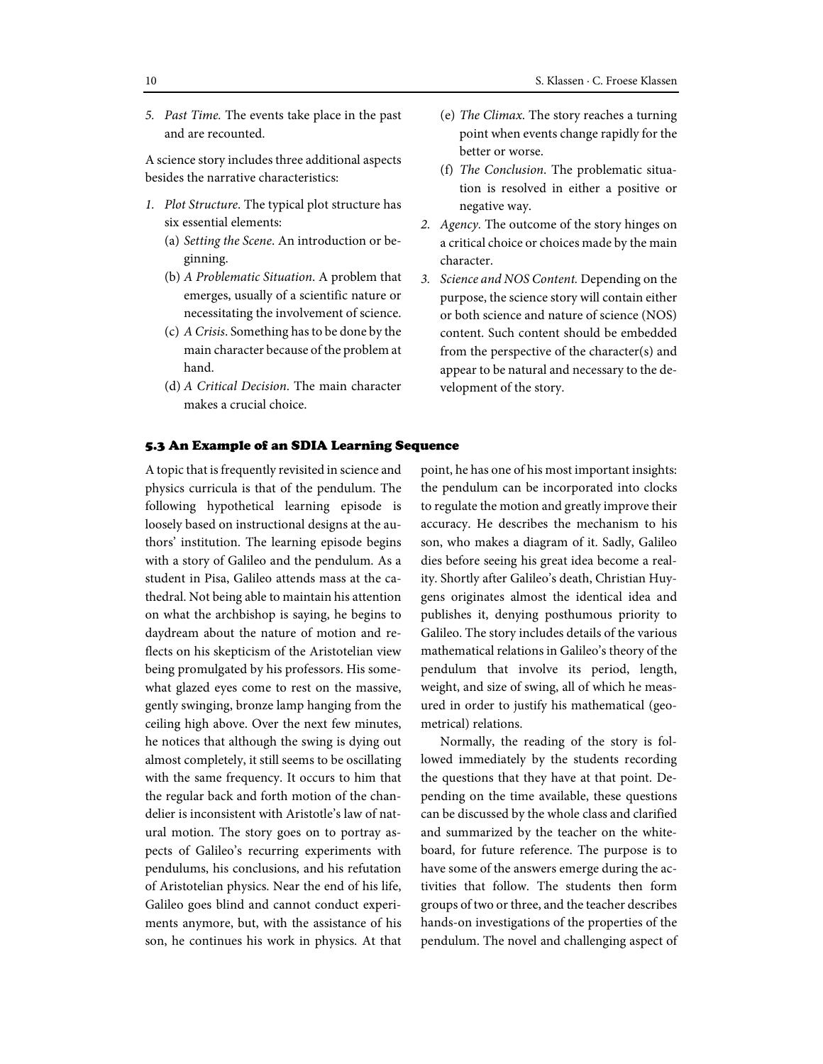*5. Past Time.* The events take place in the past and are recounted.

A science story includes three additional aspects besides the narrative characteristics:

- *1. Plot Structure*. The typical plot structure has six essential elements:
	- (a) *Setting the Scene*. An introduction or beginning.
	- (b) *A Problematic Situation*. A problem that emerges, usually of a scientific nature or necessitating the involvement of science.
	- (c) *A Crisis*. Something has to be done by the main character because of the problem at hand.
	- (d) *A Critical Decision*. The main character makes a crucial choice.
- (e) *The Climax*. The story reaches a turning point when events change rapidly for the better or worse.
- (f) *The Conclusion*. The problematic situation is resolved in either a positive or negative way.
- *2. Agency.* The outcome of the story hinges on a critical choice or choices made by the main character.
- *3. Science and NOS Content.* Depending on the purpose, the science story will contain either or both science and nature of science (NOS) content. Such content should be embedded from the perspective of the character(s) and appear to be natural and necessary to the development of the story.

### 5.3 An Example of an SDIA Learning Sequence

A topic that is frequently revisited in science and physics curricula is that of the pendulum. The following hypothetical learning episode is loosely based on instructional designs at the authors' institution. The learning episode begins with a story of Galileo and the pendulum. As a student in Pisa, Galileo attends mass at the cathedral. Not being able to maintain his attention on what the archbishop is saying, he begins to daydream about the nature of motion and reflects on his skepticism of the Aristotelian view being promulgated by his professors. His somewhat glazed eyes come to rest on the massive, gently swinging, bronze lamp hanging from the ceiling high above. Over the next few minutes, he notices that although the swing is dying out almost completely, it still seems to be oscillating with the same frequency. It occurs to him that the regular back and forth motion of the chandelier is inconsistent with Aristotle's law of natural motion. The story goes on to portray aspects of Galileo's recurring experiments with pendulums, his conclusions, and his refutation of Aristotelian physics. Near the end of his life, Galileo goes blind and cannot conduct experiments anymore, but, with the assistance of his son, he continues his work in physics. At that point, he has one of his most important insights: the pendulum can be incorporated into clocks to regulate the motion and greatly improve their accuracy. He describes the mechanism to his son, who makes a diagram of it. Sadly, Galileo dies before seeing his great idea become a reality. Shortly after Galileo's death, Christian Huygens originates almost the identical idea and publishes it, denying posthumous priority to Galileo. The story includes details of the various mathematical relations in Galileo's theory of the pendulum that involve its period, length, weight, and size of swing, all of which he measured in order to justify his mathematical (geometrical) relations.

Normally, the reading of the story is followed immediately by the students recording the questions that they have at that point. Depending on the time available, these questions can be discussed by the whole class and clarified and summarized by the teacher on the whiteboard, for future reference. The purpose is to have some of the answers emerge during the activities that follow. The students then form groups of two or three, and the teacher describes hands-on investigations of the properties of the pendulum. The novel and challenging aspect of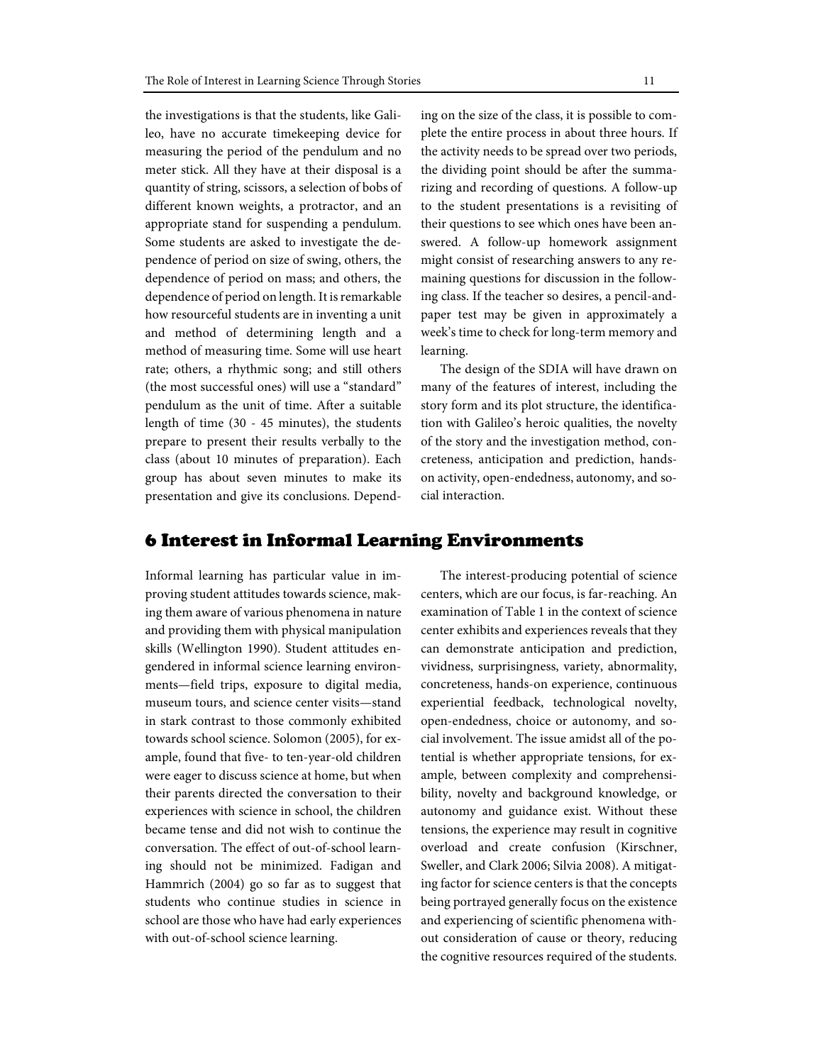the investigations is that the students, like Galileo, have no accurate timekeeping device for measuring the period of the pendulum and no meter stick. All they have at their disposal is a quantity of string, scissors, a selection of bobs of different known weights, a protractor, and an appropriate stand for suspending a pendulum. Some students are asked to investigate the dependence of period on size of swing, others, the dependence of period on mass; and others, the dependence of period on length. It is remarkable how resourceful students are in inventing a unit and method of determining length and a method of measuring time. Some will use heart rate; others, a rhythmic song; and still others (the most successful ones) will use a "standard" pendulum as the unit of time. After a suitable length of time (30 - 45 minutes), the students prepare to present their results verbally to the class (about 10 minutes of preparation). Each group has about seven minutes to make its presentation and give its conclusions. Depending on the size of the class, it is possible to complete the entire process in about three hours. If the activity needs to be spread over two periods, the dividing point should be after the summarizing and recording of questions. A follow-up to the student presentations is a revisiting of their questions to see which ones have been answered. A follow-up homework assignment might consist of researching answers to any remaining questions for discussion in the following class. If the teacher so desires, a pencil-andpaper test may be given in approximately a week's time to check for long-term memory and learning.

The design of the SDIA will have drawn on many of the features of interest, including the story form and its plot structure, the identification with Galileo's heroic qualities, the novelty of the story and the investigation method, concreteness, anticipation and prediction, handson activity, open-endedness, autonomy, and social interaction.

# 6 Interest in Informal Learning Environments

Informal learning has particular value in improving student attitudes towards science, making them aware of various phenomena in nature and providing them with physical manipulation skills (Wellington 1990). Student attitudes engendered in informal science learning environments—field trips, exposure to digital media, museum tours, and science center visits—stand in stark contrast to those commonly exhibited towards school science. Solomon (2005), for example, found that five- to ten-year-old children were eager to discuss science at home, but when their parents directed the conversation to their experiences with science in school, the children became tense and did not wish to continue the conversation. The effect of out-of-school learning should not be minimized. Fadigan and Hammrich (2004) go so far as to suggest that students who continue studies in science in school are those who have had early experiences with out-of-school science learning.

The interest-producing potential of science centers, which are our focus, is far-reaching. An examination of Table 1 in the context of science center exhibits and experiences reveals that they can demonstrate anticipation and prediction, vividness, surprisingness, variety, abnormality, concreteness, hands-on experience, continuous experiential feedback, technological novelty, open-endedness, choice or autonomy, and social involvement. The issue amidst all of the potential is whether appropriate tensions, for example, between complexity and comprehensibility, novelty and background knowledge, or autonomy and guidance exist. Without these tensions, the experience may result in cognitive overload and create confusion (Kirschner, Sweller, and Clark 2006; Silvia 2008). A mitigating factor for science centers is that the concepts being portrayed generally focus on the existence and experiencing of scientific phenomena without consideration of cause or theory, reducing the cognitive resources required of the students.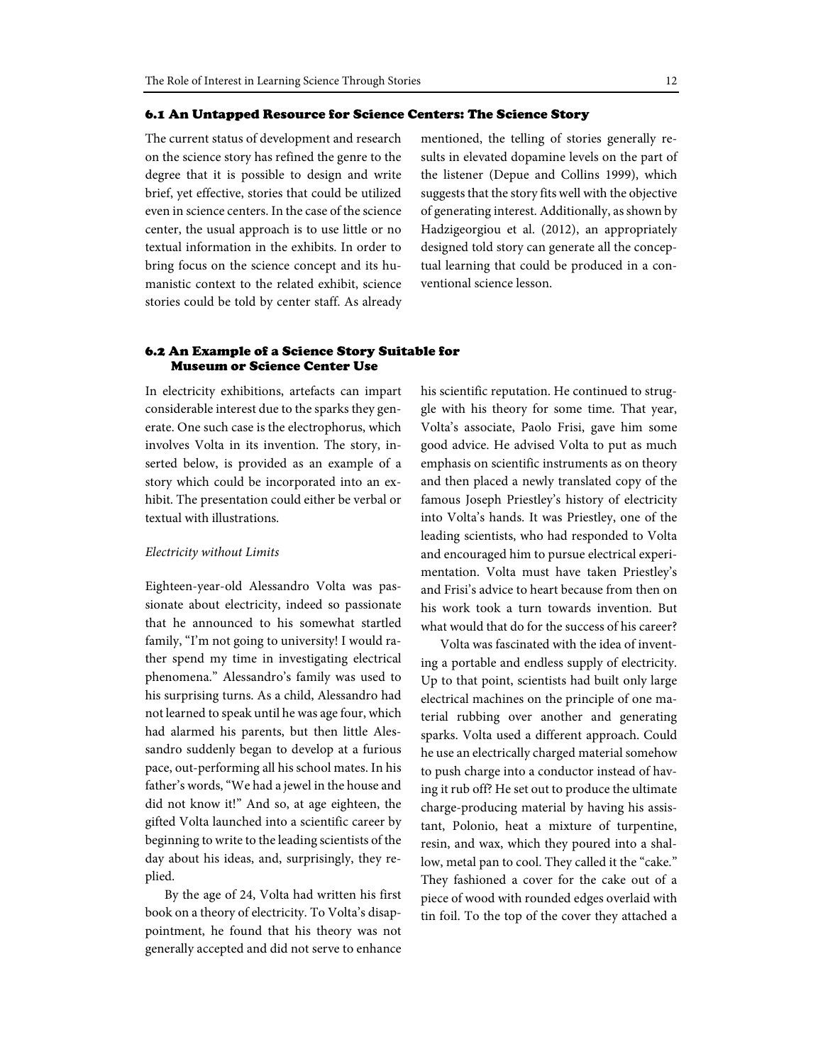#### 6.1 An Untapped Resource for Science Centers: The Science Story

The current status of development and research on the science story has refined the genre to the degree that it is possible to design and write brief, yet effective, stories that could be utilized even in science centers. In the case of the science center, the usual approach is to use little or no textual information in the exhibits. In order to bring focus on the science concept and its humanistic context to the related exhibit, science stories could be told by center staff. As already mentioned, the telling of stories generally results in elevated dopamine levels on the part of the listener (Depue and Collins 1999), which suggests that the story fits well with the objective of generating interest. Additionally, as shown by Hadzigeorgiou et al. (2012), an appropriately designed told story can generate all the conceptual learning that could be produced in a conventional science lesson.

### 6.2 An Example of a Science Story Suitable for Museum or Science Center Use

In electricity exhibitions, artefacts can impart considerable interest due to the sparks they generate. One such case is the electrophorus, which involves Volta in its invention. The story, inserted below, is provided as an example of a story which could be incorporated into an exhibit. The presentation could either be verbal or textual with illustrations.

#### *Electricity without Limits*

Eighteen-year-old Alessandro Volta was passionate about electricity, indeed so passionate that he announced to his somewhat startled family, "I'm not going to university! I would rather spend my time in investigating electrical phenomena." Alessandro's family was used to his surprising turns. As a child, Alessandro had not learned to speak until he was age four, which had alarmed his parents, but then little Alessandro suddenly began to develop at a furious pace, out-performing all his school mates. In his father's words, "We had a jewel in the house and did not know it!" And so, at age eighteen, the gifted Volta launched into a scientific career by beginning to write to the leading scientists of the day about his ideas, and, surprisingly, they replied.

By the age of 24, Volta had written his first book on a theory of electricity. To Volta's disappointment, he found that his theory was not generally accepted and did not serve to enhance

his scientific reputation. He continued to struggle with his theory for some time. That year, Volta's associate, Paolo Frisi, gave him some good advice. He advised Volta to put as much emphasis on scientific instruments as on theory and then placed a newly translated copy of the famous Joseph Priestley's history of electricity into Volta's hands. It was Priestley, one of the leading scientists, who had responded to Volta and encouraged him to pursue electrical experimentation. Volta must have taken Priestley's and Frisi's advice to heart because from then on his work took a turn towards invention. But what would that do for the success of his career?

Volta was fascinated with the idea of inventing a portable and endless supply of electricity. Up to that point, scientists had built only large electrical machines on the principle of one material rubbing over another and generating sparks. Volta used a different approach. Could he use an electrically charged material somehow to push charge into a conductor instead of having it rub off? He set out to produce the ultimate charge-producing material by having his assistant, Polonio, heat a mixture of turpentine, resin, and wax, which they poured into a shallow, metal pan to cool. They called it the "cake." They fashioned a cover for the cake out of a piece of wood with rounded edges overlaid with tin foil. To the top of the cover they attached a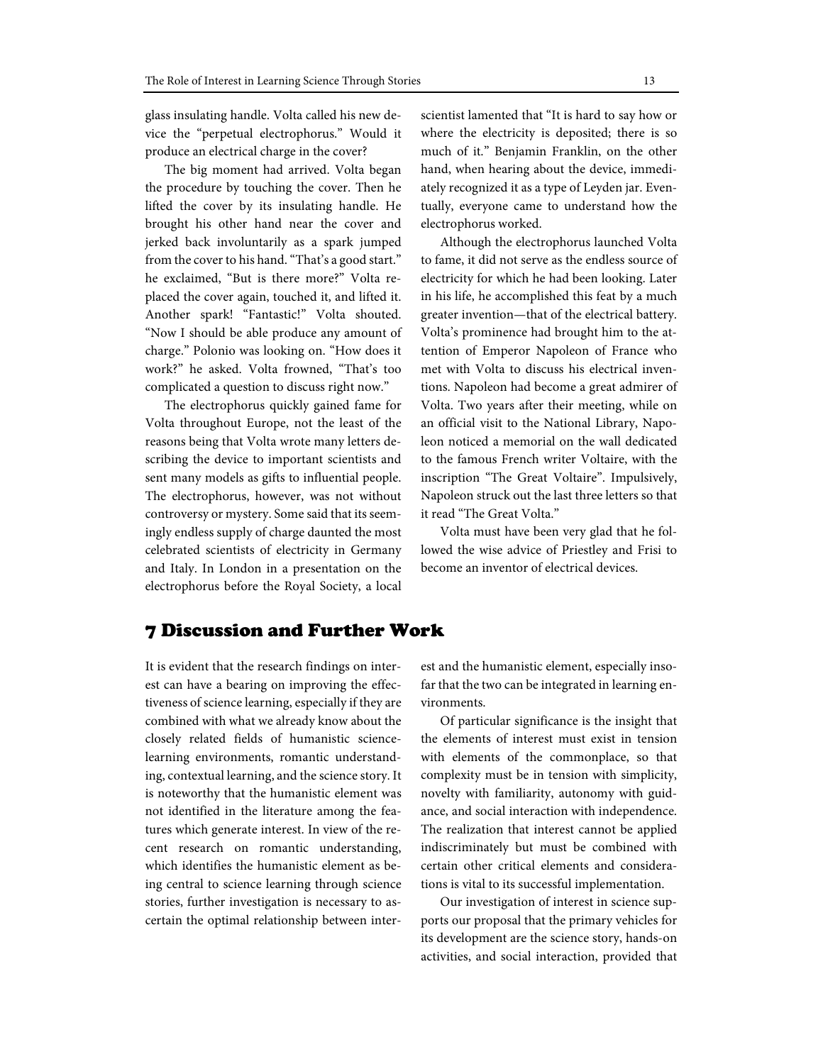glass insulating handle. Volta called his new device the "perpetual electrophorus." Would it produce an electrical charge in the cover?

The big moment had arrived. Volta began the procedure by touching the cover. Then he lifted the cover by its insulating handle. He brought his other hand near the cover and jerked back involuntarily as a spark jumped from the cover to his hand. "That's a good start." he exclaimed, "But is there more?" Volta replaced the cover again, touched it, and lifted it. Another spark! "Fantastic!" Volta shouted. "Now I should be able produce any amount of charge." Polonio was looking on. "How does it work?" he asked. Volta frowned, "That's too complicated a question to discuss right now."

The electrophorus quickly gained fame for Volta throughout Europe, not the least of the reasons being that Volta wrote many letters describing the device to important scientists and sent many models as gifts to influential people. The electrophorus, however, was not without controversy or mystery. Some said that its seemingly endless supply of charge daunted the most celebrated scientists of electricity in Germany and Italy. In London in a presentation on the electrophorus before the Royal Society, a local

scientist lamented that "It is hard to say how or where the electricity is deposited; there is so much of it." Benjamin Franklin, on the other hand, when hearing about the device, immediately recognized it as a type of Leyden jar. Eventually, everyone came to understand how the electrophorus worked.

Although the electrophorus launched Volta to fame, it did not serve as the endless source of electricity for which he had been looking. Later in his life, he accomplished this feat by a much greater invention—that of the electrical battery. Volta's prominence had brought him to the attention of Emperor Napoleon of France who met with Volta to discuss his electrical inventions. Napoleon had become a great admirer of Volta. Two years after their meeting, while on an official visit to the National Library, Napoleon noticed a memorial on the wall dedicated to the famous French writer Voltaire, with the inscription "The Great Voltaire". Impulsively, Napoleon struck out the last three letters so that it read "The Great Volta."

Volta must have been very glad that he followed the wise advice of Priestley and Frisi to become an inventor of electrical devices.

# 7 Discussion and Further Work

It is evident that the research findings on interest can have a bearing on improving the effectiveness of science learning, especially if they are combined with what we already know about the closely related fields of humanistic sciencelearning environments, romantic understanding, contextual learning, and the science story. It is noteworthy that the humanistic element was not identified in the literature among the features which generate interest. In view of the recent research on romantic understanding, which identifies the humanistic element as being central to science learning through science stories, further investigation is necessary to ascertain the optimal relationship between interest and the humanistic element, especially insofar that the two can be integrated in learning environments.

Of particular significance is the insight that the elements of interest must exist in tension with elements of the commonplace, so that complexity must be in tension with simplicity, novelty with familiarity, autonomy with guidance, and social interaction with independence. The realization that interest cannot be applied indiscriminately but must be combined with certain other critical elements and considerations is vital to its successful implementation.

Our investigation of interest in science supports our proposal that the primary vehicles for its development are the science story, hands-on activities, and social interaction, provided that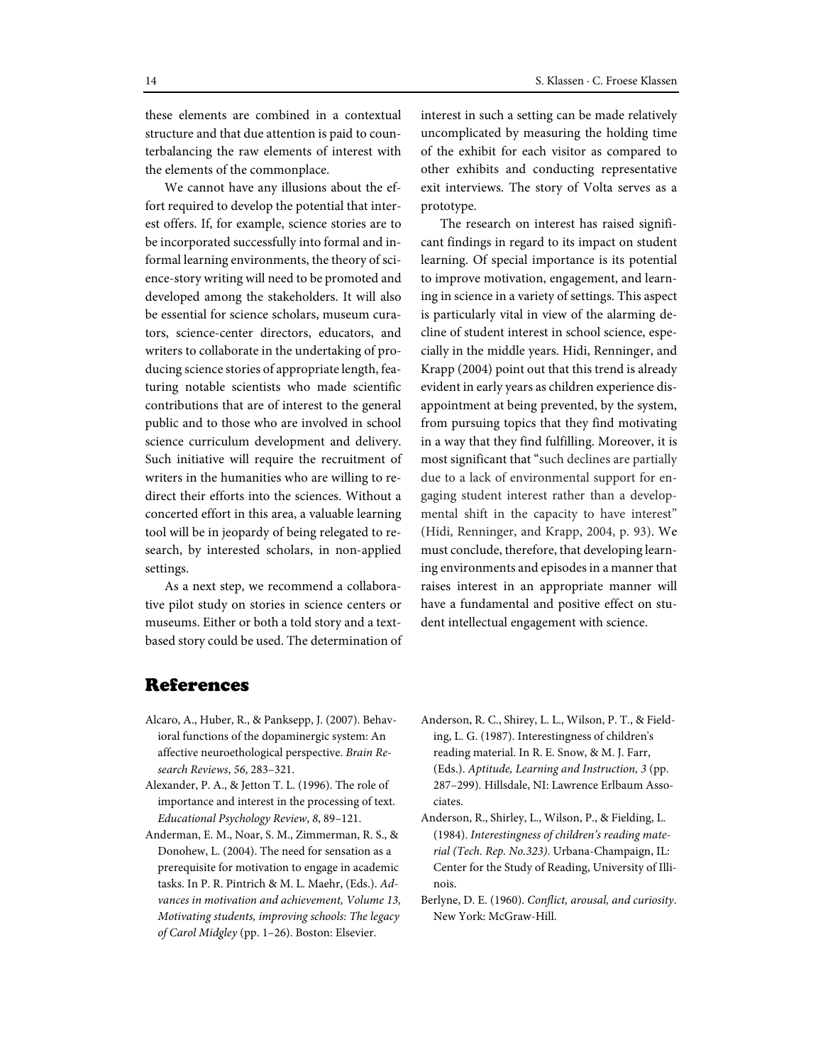these elements are combined in a contextual structure and that due attention is paid to counterbalancing the raw elements of interest with the elements of the commonplace.

We cannot have any illusions about the effort required to develop the potential that interest offers. If, for example, science stories are to be incorporated successfully into formal and informal learning environments, the theory of science-story writing will need to be promoted and developed among the stakeholders. It will also be essential for science scholars, museum curators, science-center directors, educators, and writers to collaborate in the undertaking of producing science stories of appropriate length, featuring notable scientists who made scientific contributions that are of interest to the general public and to those who are involved in school science curriculum development and delivery. Such initiative will require the recruitment of writers in the humanities who are willing to redirect their efforts into the sciences. Without a concerted effort in this area, a valuable learning tool will be in jeopardy of being relegated to research, by interested scholars, in non-applied settings.

As a next step, we recommend a collaborative pilot study on stories in science centers or museums. Either or both a told story and a textbased story could be used. The determination of interest in such a setting can be made relatively uncomplicated by measuring the holding time of the exhibit for each visitor as compared to other exhibits and conducting representative exit interviews. The story of Volta serves as a prototype.

The research on interest has raised significant findings in regard to its impact on student learning. Of special importance is its potential to improve motivation, engagement, and learning in science in a variety of settings. This aspect is particularly vital in view of the alarming decline of student interest in school science, especially in the middle years. Hidi, Renninger, and Krapp (2004) point out that this trend is already evident in early years as children experience disappointment at being prevented, by the system, from pursuing topics that they find motivating in a way that they find fulfilling. Moreover, it is most significant that "such declines are partially due to a lack of environmental support for engaging student interest rather than a developmental shift in the capacity to have interest" (Hidi, Renninger, and Krapp, 2004, p. 93). We must conclude, therefore, that developing learning environments and episodes in a manner that raises interest in an appropriate manner will have a fundamental and positive effect on student intellectual engagement with science.

# References

- Alcaro, A., Huber, R., & Panksepp, J. (2007). Behavioral functions of the dopaminergic system: An affective neuroethological perspective. *Brain Research Reviews*, *56*, 283–321.
- Alexander, P. A., & Jetton T. L. (1996). The role of importance and interest in the processing of text. *Educational Psychology Review*, *8*, 89–121.
- Anderman, E. M., Noar, S. M., Zimmerman, R. S., & Donohew, L. (2004). The need for sensation as a prerequisite for motivation to engage in academic tasks. In P. R. Pintrich & M. L. Maehr, (Eds.). *Advances in motivation and achievement, Volume 13, Motivating students, improving schools: The legacy of Carol Midgley* (pp. 1–26). Boston: Elsevier.
- Anderson, R. C., Shirey, L. L., Wilson, Ρ. Τ., & Fielding, L. G. (1987). Interestingness of children's reading material. In R. E. Snow, & M. J. Farr, (Eds.). *Aptitude, Learning and Instruction, 3* (pp. 287–299)*.* Hillsdale, ΝΙ: Lawrence Erlbaum Associates.
- Anderson, R., Shirley, L., Wilson, P., & Fielding, L. (1984). *Interestingness of children's reading material (Tech. Rep. No.323)*. Urbana-Champaign, IL: Center for the Study of Reading, University of Illinois.
- Berlyne, D. E. (1960). *Conflict, arousal, and curiosity*. New York: McGraw-Hill.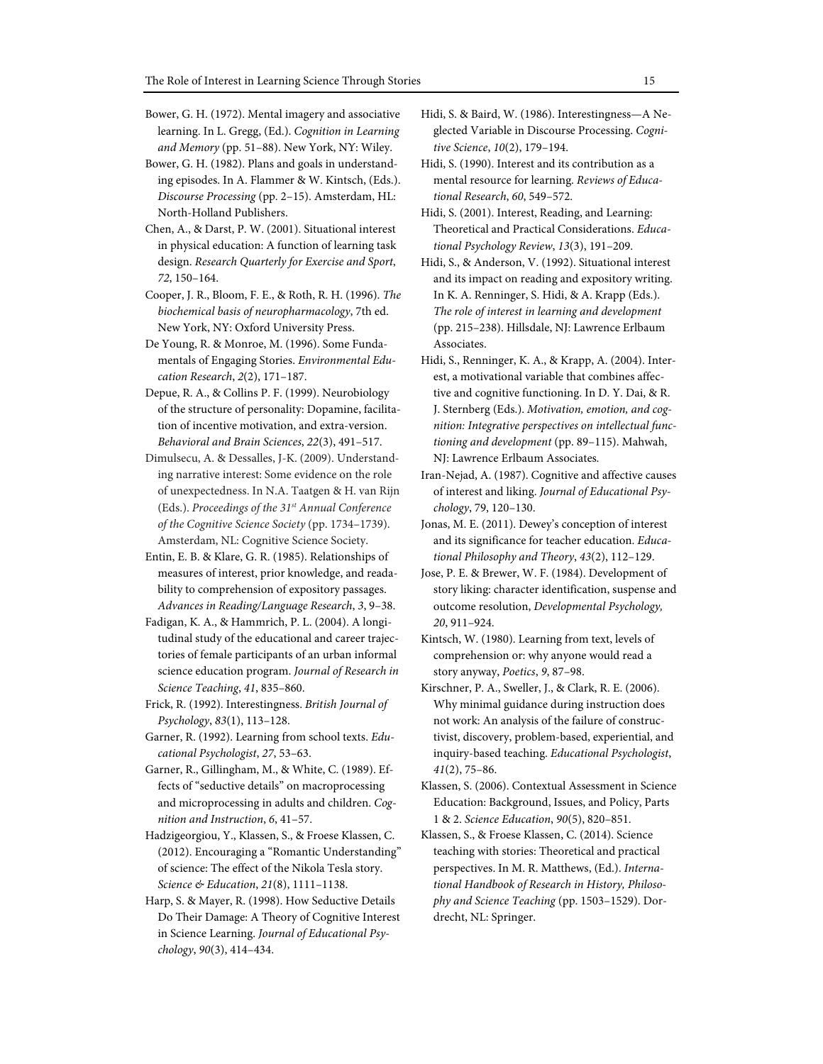- Bower, G. H. (1972). Mental imagery and associative learning. In L. Gregg, (Ed.). *Cognition in Learning and Memory* (pp. 51–88). New York, ΝΥ: Wiley.
- Bower, G. H. (1982). Plans and goals in understanding episodes. In Α. Flammer & W. Κintsch, (Eds.). *Discourse Processing* (pp. 2–15). Amsterdam, HL: North-Holland Publishers.
- Chen, A., & Darst, P. W. (2001). Situational interest in physical education: A function of learning task design. *Research Quarterly for Exercise and Sport*, *72*, 150–164.
- Cooper, J. R., Bloom, F. E., & Roth, R. H. (1996). *The biochemical basis of neuropharmacology*, 7th ed. New York, NY: Oxford University Press.
- De Young, R. & Monroe, M. (1996). Some Fundamentals of Engaging Stories. *Environmental Education Research*, *2*(2), 171–187.
- Depue, R. A., & Collins P. F. (1999). Neurobiology of the structure of personality: Dopamine, facilitation of incentive motivation, and extra-version. *Behavioral and Brain Sciences*, *22*(3), 491–517.
- Dimulsecu, A. & Dessalles, J-K. (2009). Understanding narrative interest: Some evidence on the role of unexpectedness. In N.A. Taatgen & H. van Rijn (Eds.). *Proceedings of the 31st Annual Conference of the Cognitive Science Society* (pp. 1734–1739). Amsterdam, NL: Cognitive Science Society.
- Entin, Ε. Β. & Klare, G. R. (1985). Relationships of measures of interest, prior knowledge, and readability to comprehension of expository passages. *Advances in Reading/Language Research*, *3*, 9–38.
- Fadigan, K. A., & Hammrich, P. L. (2004). A longitudinal study of the educational and career trajectories of female participants of an urban informal science education program. *Journal of Research in Science Teaching*, *41*, 835–860.
- Frick, R. (1992). Interestingness. *British Journal of Psychology*, *83*(1), 113–128.
- Garner, R. (1992). Learning from school texts. *Educational Psychologist*, *27*, 53–63.
- Garner, R., Gillingham, M., & White, C. (1989). Effects of "seductive details" on macroprocessing and microprocessing in adults and children. *Cognition and Instruction*, *6*, 41–57.
- Hadzigeorgiou, Y., Klassen, S., & Froese Klassen, C. (2012). Encouraging a "Romantic Understanding" of science: The effect of the Nikola Tesla story. *Science & Education*, *21*(8), 1111–1138.
- Harp, S. & Mayer, R. (1998). How Seductive Details Do Their Damage: A Theory of Cognitive Interest in Science Learning. *Journal of Educational Psychology*, *90*(3), 414–434.
- Hidi, S. & Baird, W. (1986). Interestingness—A Neglected Variable in Discourse Processing. *Cognitive Science*, *10*(2), 179–194.
- Hidi, S. (1990). Interest and its contribution as a mental resource for learning. *Reviews of Educational Research*, *60*, 549–572.
- Hidi, S. (2001). Interest, Reading, and Learning: Theoretical and Practical Considerations. *Educational Psychology Review*, *13*(3), 191–209.
- Hidi, S., & Anderson, V. (1992). Situational interest and its impact on reading and expository writing. In K. A. Renninger, S. Hidi, & A. Krapp (Eds.). *The role of interest in learning and development*  (pp. 215–238). Hillsdale, NJ: Lawrence Erlbaum Associates.
- Hidi, S., Renninger, K. A., & Krapp, A. (2004). Interest, a motivational variable that combines affective and cognitive functioning. In D. Y. Dai, & R. J. Sternberg (Eds.). *Motivation, emotion, and cognition: Integrative perspectives on intellectual functioning and development* (pp. 89–115). Mahwah, NJ: Lawrence Erlbaum Associates.
- Iran-Nejad, Α. (1987). Cognitive and affective causes of interest and liking. *Journal of Educational Psychology*, 79, 120–130.
- Jonas, M. E. (2011). Dewey's conception of interest and its significance for teacher education. *Educational Philosophy and Theory*, *43*(2), 112–129.
- Jose, Ρ. Ε. & Brewer, W. F. (1984). Development of story liking: character identification, suspense and outcome resolution, *Developmental Psychology, 20*, 911–924.
- Kintsch, W. (1980). Learning from text, levels of comprehension or: why anyone would read a story anyway, *Poetics*, *9*, 87–98.
- Kirschner, P. A., Sweller, J., & Clark, R. E. (2006). Why minimal guidance during instruction does not work: An analysis of the failure of constructivist, discovery, problem-based, experiential, and inquiry-based teaching. *Educational Psychologist*, *41*(2), 75–86.
- Klassen, S. (2006). Contextual Assessment in Science Education: Background, Issues, and Policy, Parts 1 & 2. *Science Education*, *90*(5), 820–851.
- Klassen, S., & Froese Klassen, C. (2014). Science teaching with stories: Theoretical and practical perspectives. In M. R. Matthews, (Ed.). *International Handbook of Research in History, Philosophy and Science Teaching* (pp. 1503–1529). Dordrecht, NL: Springer.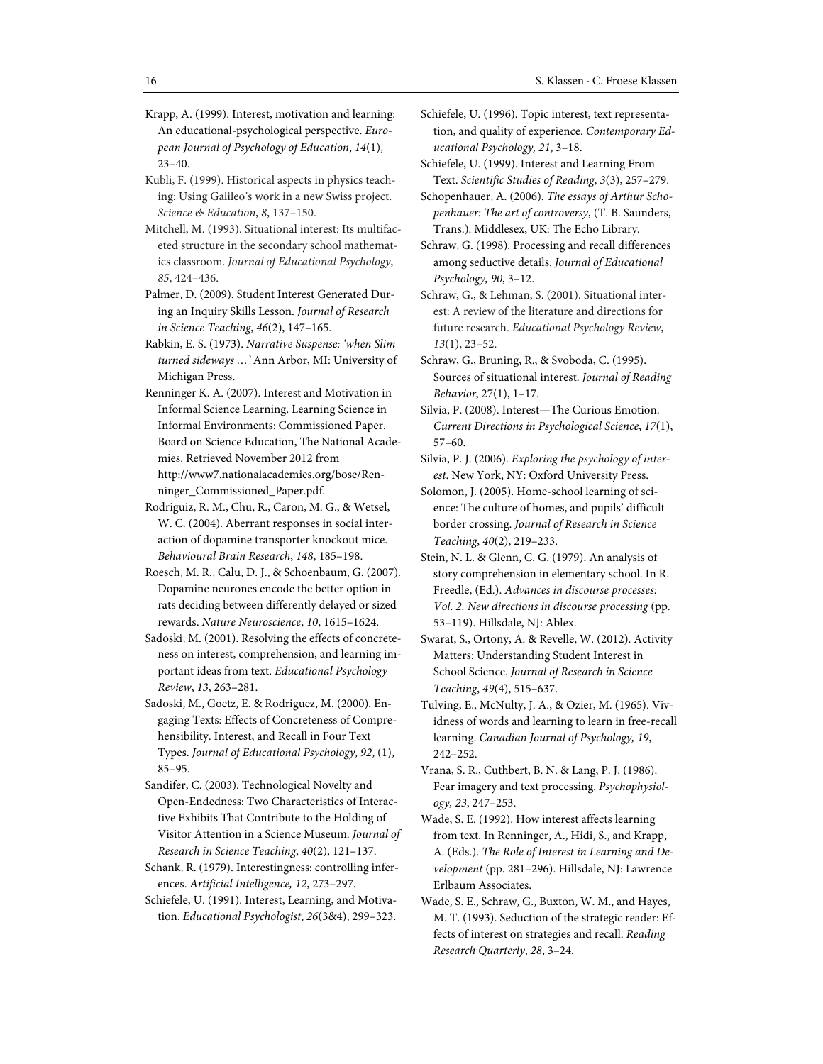- Krapp, A. (1999). Interest, motivation and learning: An educational-psychological perspective. *European Journal of Psychology of Education*, *14*(1), 23–40.
- Kubli, F. (1999). Historical aspects in physics teaching: Using Galileo's work in a new Swiss project. *Science & Education*, *8*, 137–150.
- Mitchell, M. (1993). Situational interest: Its multifaceted structure in the secondary school mathematics classroom. *Journal of Educational Psychology*, *85*, 424–436.
- Palmer, D. (2009). Student Interest Generated During an Inquiry Skills Lesson. *Journal of Research in Science Teaching*, *46*(2), 147–165.
- Rabkin, Ε. S. (1973). *Narrative Suspense: 'when Slim turned sideways …'* Αnn Arbor, ΜΙ: University of Michigan Press.
- Renninger K. A. (2007). Interest and Motivation in Informal Science Learning. Learning Science in Informal Environments: Commissioned Paper. Board on Science Education, The National Academies. Retrieved November 2012 from http://www7.nationalacademies.org/bose/Renninger\_Commissioned\_Paper.pdf.
- Rodriguiz, R. M., Chu, R., Caron, M. G., & Wetsel, W. C. (2004). Aberrant responses in social interaction of dopamine transporter knockout mice. *Behavioural Brain Research*, *148*, 185–198.
- Roesch, M. R., Calu, D. J., & Schoenbaum, G. (2007). Dopamine neurones encode the better option in rats deciding between differently delayed or sized rewards. *Nature Neuroscience*, *10*, 1615–1624.
- Sadoski, M. (2001). Resolving the effects of concreteness on interest, comprehension, and learning important ideas from text. *Educational Psychology Review*, *13*, 263–281.
- Sadoski, M., Goetz, E. & Rodriguez, M. (2000). Engaging Texts: Effects of Concreteness of Comprehensibility. Interest, and Recall in Four Text Types. *Journal of Educational Psychology*, *92*, (1), 85–95.
- Sandifer, C. (2003). Technological Novelty and Open-Endedness: Two Characteristics of Interactive Exhibits That Contribute to the Holding of Visitor Attention in a Science Museum. *Journal of Research in Science Teaching*, *40*(2), 121–137.
- Schank, R. (1979). Interestingness: controlling inferences. *Artificial Intelligence, 12*, 273–297.
- Schiefele, U. (1991). Interest, Learning, and Motivation. *Educational Psychologist*, *26*(3&4), 299–323.
- Schiefele, U. (1996). Topic interest, text representation, and quality of experience. *Contemporary Educational Psychology, 21*, 3–18.
- Schiefele, U. (1999). Interest and Learning From Text. *Scientific Studies of Reading*, *3*(3), 257–279.
- Schopenhauer, A. (2006). *The essays of Arthur Schopenhauer: The art of controversy*, (T. B. Saunders, Trans.). Middlesex, UK: The Echo Library.
- Schraw, G. (1998). Processing and recall differences among seductive details. *Journal of Educational Psychology, 90*, 3–12.
- Schraw, G., & Lehman, S. (2001). Situational interest: A review of the literature and directions for future research. *Educational Psychology Review*, *13*(1), 23–52.
- Schraw, G., Bruning, R., & Svoboda, C. (1995). Sources of situational interest. *Journal of Reading Behavior*, 27(1), 1–17.
- Silvia, P. (2008). Interest—The Curious Emotion. *Current Directions in Psychological Science*, *17*(1), 57–60.
- Silvia, P. J. (2006). *Exploring the psychology of interest*. New York, NY: Oxford University Press.
- Solomon, J. (2005). Home-school learning of science: The culture of homes, and pupils' difficult border crossing. *Journal of Research in Science Teaching*, *40*(2), 219–233.
- Stein, N. L. & Glenn, C. G. (1979). Αn analysis of story comprehension in elementary school. In R. Freedle, (Ed.). *Advances in discourse processes: Vol. 2. New directions in discourse processing* (pp. 53–119). Hillsdale, NJ: Ablex.
- Swarat, S., Ortony, A. & Revelle, W. (2012). Activity Matters: Understanding Student Interest in School Science. *Journal of Research in Science Teaching*, *49*(4), 515–637.
- Tulving, Ε., McNulty, J. A., & Ozier, Μ. (1965). Vividness of words and learning to learn in free-recall learning. *Canadian Journal of Psychology, 19*, 242–252.
- Vrana, S. R., Cuthbert, Β. Ν. & Lang, P. J. (1986). Fear imagery and text processing. *Psychophysiology, 23*, 247–253.
- Wade, S. E. (1992). How interest affects learning from text. In Renninger, A., Hidi, S., and Krapp, A. (Eds.). *The Role of Interest in Learning and Development* (pp. 281–296). Hillsdale, NJ: Lawrence Erlbaum Associates.
- Wade, S. E., Schraw, G., Buxton, W. M., and Hayes, M. T. (1993). Seduction of the strategic reader: Effects of interest on strategies and recall. *Reading Research Quarterly*, *28*, 3–24.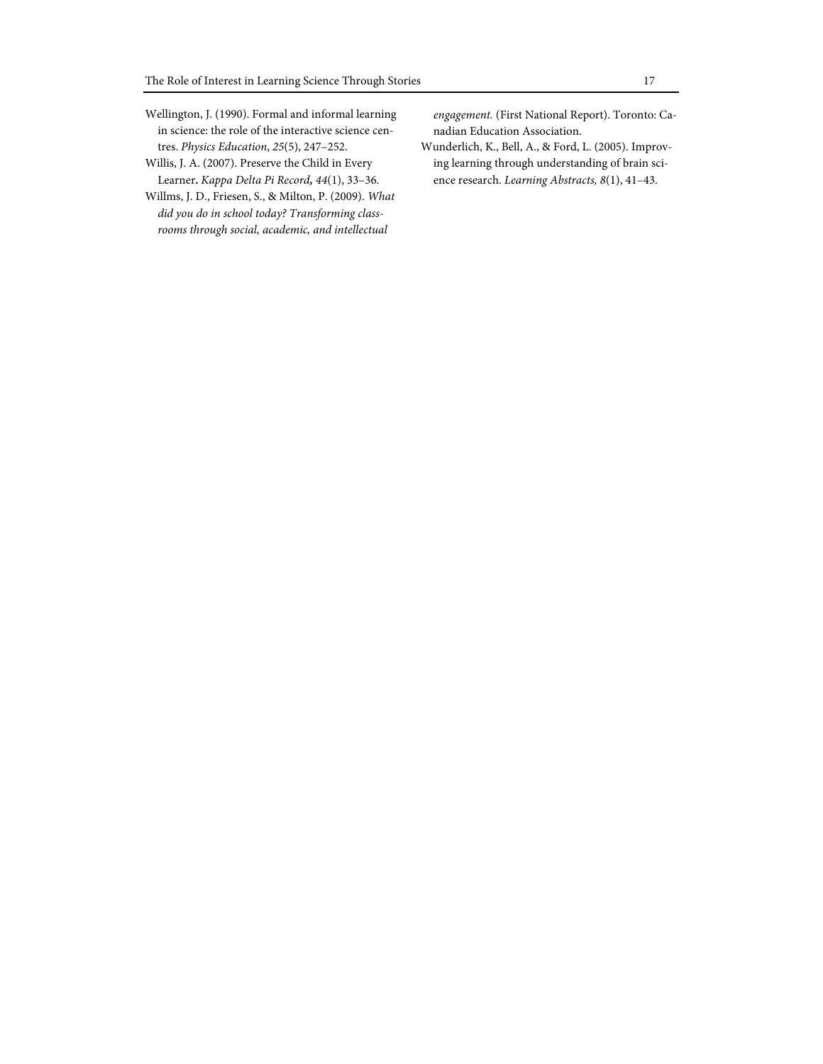- Wellington, J. (1990). Formal and informal learning in science: the role of the interactive science centres. *Physics Education*, *25*(5), 247–252.
- Willis, J. A. (2007). Preserve the Child in Every Learner**.** *Kappa Delta Pi Record, 44*(1), 33–36.
- Willms, J. D., Friesen, S., & Milton, P. (2009). *What did you do in school today? Transforming classrooms through social, academic, and intellectual*

*engagement.* (First National Report). Toronto: Canadian Education Association.

Wunderlich, K., Bell, A., & Ford, L. (2005). Improving learning through understanding of brain science research. *Learning Abstracts, 8*(1), 41–43.